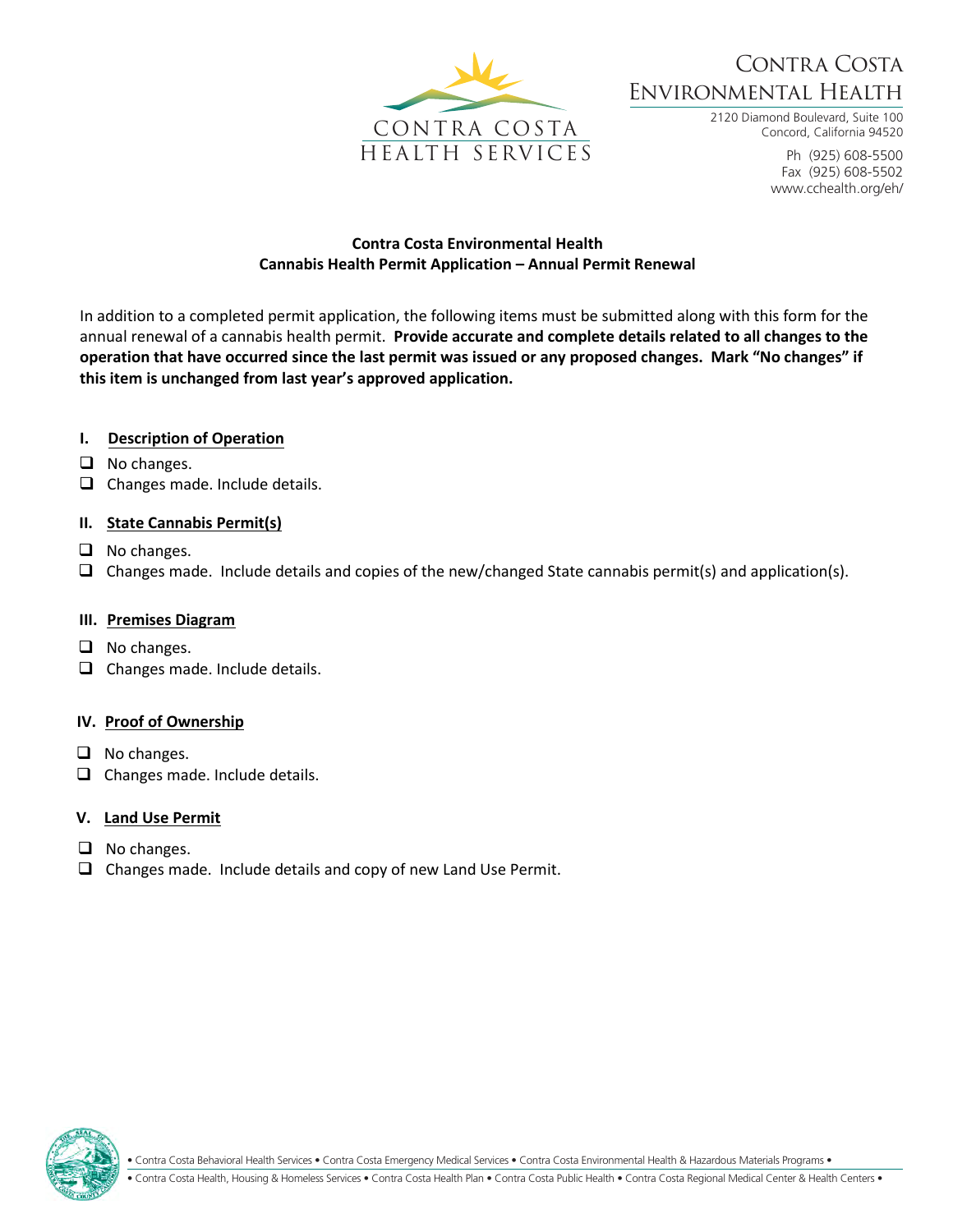

# Contra Costa Environmental Health

2120 Diamond Boulevard, Suite 100 Concord, California 94520

> Ph (925) 608-5500 Fax (925) 608-5502 www.cchealth.org/eh/

### **Contra Costa Environmental Health Cannabis Health Permit Application – Annual Permit Renewal**

In addition to a completed permit application, the following items must be submitted along with this form for the annual renewal of a cannabis health permit. **Provide accurate and complete details related to all changes to the operation that have occurred since the last permit was issued or any proposed changes. Mark "No changes" if this item is unchanged from last year's approved application.** 

## **I. Description of Operation**

- ❑ No changes.
- ❑ Changes made. Include details.

## **II. State Cannabis Permit(s)**

- ❑ No changes.
- ❑ Changes made. Include details and copies of the new/changed State cannabis permit(s) and application(s).

#### **III. Premises Diagram**

- ❑ No changes.
- ❑ Changes made. Include details.

#### **IV. Proof of Ownership**

- ❑ No changes.
- ❑ Changes made. Include details.

## **V. Land Use Permit**

- ❑ No changes.
- ❑ Changes made. Include details and copy of new Land Use Permit.



• Contra Costa Behavioral Health Services • Contra Costa Emergency Medical Services • Contra Costa Environmental Health & Hazardous Materials Programs •